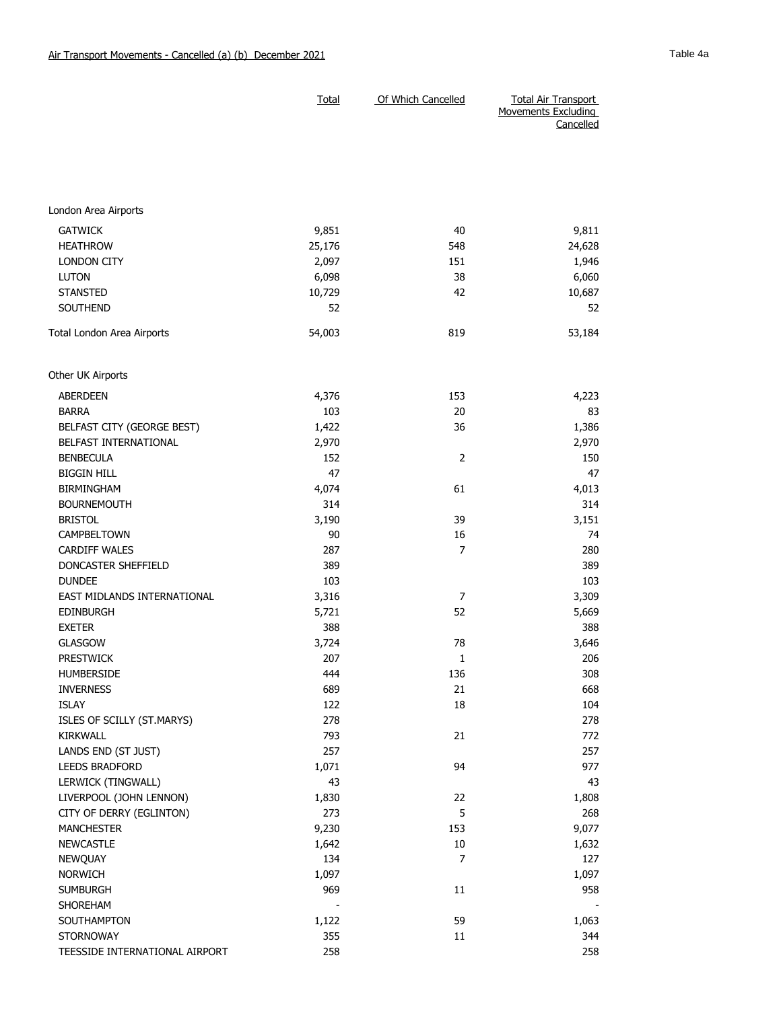|                                | <b>Total</b> | Of Which Cancelled | <b>Total Air Transport</b><br><b>Movements Excluding</b><br>Cancelled |
|--------------------------------|--------------|--------------------|-----------------------------------------------------------------------|
|                                |              |                    |                                                                       |
| London Area Airports           |              |                    |                                                                       |
| <b>GATWICK</b>                 | 9,851        | 40                 | 9,811                                                                 |
| <b>HEATHROW</b>                | 25,176       | 548                | 24,628                                                                |
| <b>LONDON CITY</b>             | 2,097        | 151                | 1,946                                                                 |
| <b>LUTON</b>                   | 6,098        | 38                 | 6,060                                                                 |
| <b>STANSTED</b>                | 10,729       | 42                 | 10,687                                                                |
| <b>SOUTHEND</b>                | 52           |                    | 52                                                                    |
| Total London Area Airports     | 54,003       | 819                | 53,184                                                                |
| Other UK Airports              |              |                    |                                                                       |
| <b>ABERDEEN</b>                | 4,376        | 153                | 4,223                                                                 |
| <b>BARRA</b>                   | 103          | 20                 | 83                                                                    |
| BELFAST CITY (GEORGE BEST)     | 1,422        | 36                 | 1,386                                                                 |
| BELFAST INTERNATIONAL          | 2,970        |                    | 2,970                                                                 |
| <b>BENBECULA</b>               | 152          | $\overline{2}$     | 150                                                                   |
| <b>BIGGIN HILL</b>             | 47           |                    | 47                                                                    |
| <b>BIRMINGHAM</b>              | 4,074        | 61                 | 4,013                                                                 |
| <b>BOURNEMOUTH</b>             | 314          |                    | 314                                                                   |
| <b>BRISTOL</b>                 | 3,190        | 39                 | 3,151                                                                 |
| <b>CAMPBELTOWN</b>             | 90           | 16                 | 74                                                                    |
| <b>CARDIFF WALES</b>           | 287          | 7                  | 280                                                                   |
| DONCASTER SHEFFIELD            | 389          |                    | 389                                                                   |
| <b>DUNDEE</b>                  | 103          |                    | 103                                                                   |
| EAST MIDLANDS INTERNATIONAL    | 3,316        | 7                  | 3,309                                                                 |
| <b>EDINBURGH</b>               | 5,721        | 52                 | 5,669                                                                 |
| <b>EXETER</b>                  | 388          |                    | 388                                                                   |
| <b>GLASGOW</b>                 | 3,724        | 78                 | 3,646                                                                 |
| PRESTWICK                      | 207          | $\mathbf{1}$       | 206                                                                   |
| <b>HUMBERSIDE</b>              | 444          | 136                | 308                                                                   |
| <b>INVERNESS</b>               | 689          | 21                 | 668                                                                   |
| <b>ISLAY</b>                   | 122          | 18                 | 104                                                                   |
| ISLES OF SCILLY (ST.MARYS)     | 278          |                    | 278                                                                   |
| KIRKWALL                       | 793          | 21                 | 772                                                                   |
| LANDS END (ST JUST)            | 257          |                    | 257                                                                   |
| LEEDS BRADFORD                 | 1,071        | 94                 | 977                                                                   |
| LERWICK (TINGWALL)             | 43           |                    | 43                                                                    |
| LIVERPOOL (JOHN LENNON)        | 1,830        | 22                 | 1,808                                                                 |
| CITY OF DERRY (EGLINTON)       | 273          | 5                  | 268                                                                   |
| <b>MANCHESTER</b>              | 9,230        | 153                | 9,077                                                                 |
| <b>NEWCASTLE</b>               | 1,642        | $10\,$             | 1,632                                                                 |
| NEWQUAY                        | 134          | 7                  | 127                                                                   |
| <b>NORWICH</b>                 | 1,097        |                    | 1,097                                                                 |
| <b>SUMBURGH</b>                | 969          | 11                 | 958                                                                   |
| SHOREHAM                       |              |                    |                                                                       |
| SOUTHAMPTON                    | 1,122        | 59                 | 1,063                                                                 |
| <b>STORNOWAY</b>               | 355          | 11                 | 344                                                                   |
| TEESSIDE INTERNATIONAL AIRPORT | 258          |                    | 258                                                                   |